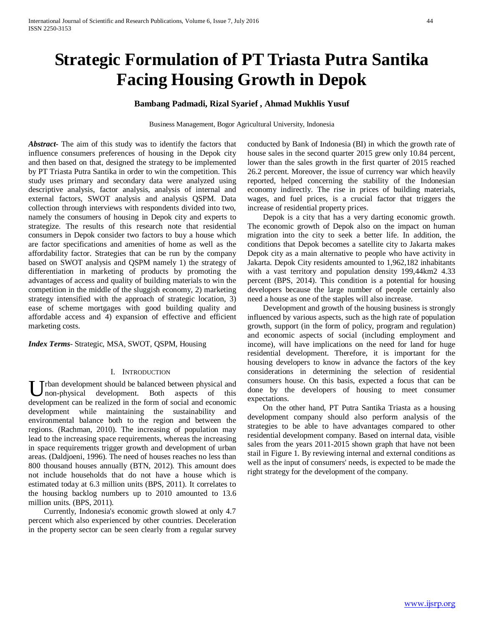# **Strategic Formulation of PT Triasta Putra Santika Facing Housing Growth in Depok**

# **Bambang Padmadi, Rizal Syarief , Ahmad Mukhlis Yusuf**

Business Management, Bogor Agricultural University, Indonesia

*Abstract***-** The aim of this study was to identify the factors that influence consumers preferences of housing in the Depok city and then based on that, designed the strategy to be implemented by PT Triasta Putra Santika in order to win the competition. This study uses primary and secondary data were analyzed using descriptive analysis, factor analysis, analysis of internal and external factors, SWOT analysis and analysis QSPM. Data collection through interviews with respondents divided into two, namely the consumers of housing in Depok city and experts to strategize. The results of this research note that residential consumers in Depok consider two factors to buy a house which are factor specifications and amenities of home as well as the affordability factor. Strategies that can be run by the company based on SWOT analysis and QSPM namely 1) the strategy of differentiation in marketing of products by promoting the advantages of access and quality of building materials to win the competition in the middle of the sluggish economy, 2) marketing strategy intensified with the approach of strategic location, 3) ease of scheme mortgages with good building quality and affordable access and 4) expansion of effective and efficient marketing costs.

*Index Terms*- Strategic, MSA, SWOT, QSPM, Housing

#### I. INTRODUCTION

Trban development should be balanced between physical and non-physical development. Both aspects of this U rban development should be balanced between physical and non-physical development. Both aspects of this development can be realized in the form of social and economic development while maintaining the sustainability and environmental balance both to the region and between the regions. (Rachman, 2010). The increasing of population may lead to the increasing space requirements, whereas the increasing in space requirements trigger growth and development of urban areas. (Daldjoeni, 1996). The need of houses reaches no less than 800 thousand houses annually (BTN, 2012). This amount does not include households that do not have a house which is estimated today at 6.3 million units (BPS, 2011). It correlates to the housing backlog numbers up to 2010 amounted to 13.6 million units. (BPS, 2011).

 Currently, Indonesia's economic growth slowed at only 4.7 percent which also experienced by other countries. Deceleration in the property sector can be seen clearly from a regular survey

conducted by Bank of Indonesia (BI) in which the growth rate of house sales in the second quarter 2015 grew only 10.84 percent, lower than the sales growth in the first quarter of 2015 reached 26.2 percent. Moreover, the issue of currency war which heavily reported, helped concerning the stability of the Indonesian economy indirectly. The rise in prices of building materials, wages, and fuel prices, is a crucial factor that triggers the increase of residential property prices.

 Depok is a city that has a very darting economic growth. The economic growth of Depok also on the impact on human migration into the city to seek a better life. In addition, the conditions that Depok becomes a satellite city to Jakarta makes Depok city as a main alternative to people who have activity in Jakarta. Depok City residents amounted to 1,962,182 inhabitants with a vast territory and population density 199,44km2 4.33 percent (BPS, 2014). This condition is a potential for housing developers because the large number of people certainly also need a house as one of the staples will also increase.

 Development and growth of the housing business is strongly influenced by various aspects, such as the high rate of population growth, support (in the form of policy, program and regulation) and economic aspects of social (including employment and income), will have implications on the need for land for huge residential development. Therefore, it is important for the housing developers to know in advance the factors of the key considerations in determining the selection of residential consumers house. On this basis, expected a focus that can be done by the developers of housing to meet consumer expectations.

 On the other hand, PT Putra Santika Triasta as a housing development company should also perform analysis of the strategies to be able to have advantages compared to other residential development company. Based on internal data, visible sales from the years 2011-2015 shown graph that have not been stail in Figure 1. By reviewing internal and external conditions as well as the input of consumers' needs, is expected to be made the right strategy for the development of the company.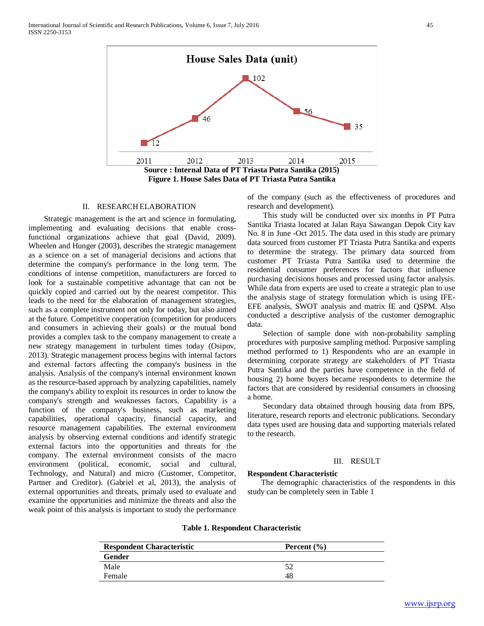



#### II. RESEARCH ELABORATION

 Strategic management is the art and science in formulating, implementing and evaluating decisions that enable crossfunctional organizations achieve that goal (David, 2009). Wheelen and Hunger (2003), describes the strategic management as a science on a set of managerial decisions and actions that determine the company's performance in the long term. The conditions of intense competition, manufacturers are forced to look for a sustainable competitive advantage that can not be quickly copied and carried out by the nearest competitor. This leads to the need for the elaboration of management strategies, such as a complete instrument not only for today, but also aimed at the future. Competitive cooperation (competition for producers and consumers in achieving their goals) or the mutual bond provides a complex task to the company management to create a new strategy management in turbulent times today (Osipov, 2013). Strategic management process begins with internal factors and external factors affecting the company's business in the analysis. Analysis of the company's internal environment known as the resource-based approach by analyzing capabilities, namely the company's ability to exploit its resources in order to know the company's strength and weaknesses factors. Capability is a function of the company's business, such as marketing capabilities, operational capacity, financial capacity, and resource management capabilities. The external environment analysis by observing external conditions and identify strategic external factors into the opportunities and threats for the company. The external environment consists of the macro environment (political, economic, social and cultural, Technology, and Natural) and micro (Customer, Competitor, Partner and Creditor). (Gabriel et al, 2013), the analysis of external opportunities and threats, primaly used to evaluate and examine the opportunities and minimize the threats and also the weak point of this analysis is important to study the performance of the company (such as the effectiveness of procedures and research and development).

 This study will be conducted over six months in PT Putra Santika Triasta located at Jalan Raya Sawangan Depok City kav No. 8 in June -Oct 2015. The data used in this study are primary data sourced from customer PT Triasta Putra Santika and experts to determine the strategy. The primary data sourced from customer PT Triasta Putra Santika used to determine the residential consumer preferences for factors that influence purchasing decisions houses and processed using factor analysis. While data from experts are used to create a strategic plan to use the analysis stage of strategy formulation which is using IFE-EFE analysis, SWOT analysis and matrix IE and QSPM. Also conducted a descriptive analysis of the customer demographic data.

 Selection of sample done with non-probability sampling procedures with purposive sampling method. Purposive sampling method performed to 1) Respondents who are an example in determining corporate strategy are stakeholders of PT Triasta Putra Santika and the parties have competence in the field of housing 2) home buyers became respondents to determine the factors that are considered by residential consumers in choosing a home.

 Secondary data obtained through housing data from BPS, literature, research reports and electronic publications. Secondary data types used are housing data and supporting materials related to the research.

#### III. RESULT

# **Respondent Characteristic**

 The demographic characteristics of the respondents in this study can be completely seen in Table 1

| <b>Respondent Characteristic</b> | Percent $(\% )$ |
|----------------------------------|-----------------|
| Gender                           |                 |

Male 52 Female 48

# **Table 1. Respondent Characteristic**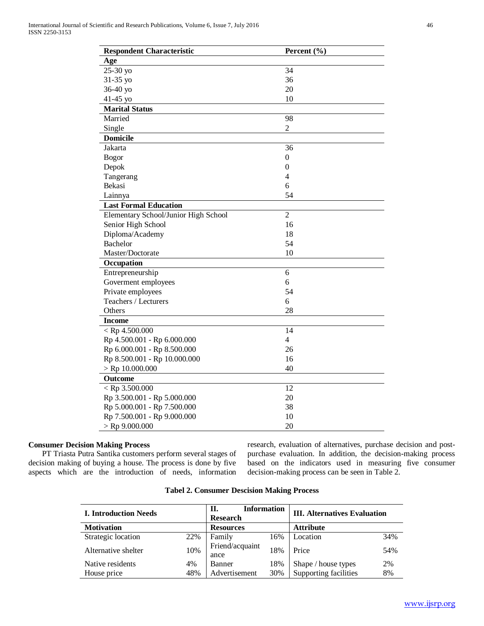| <b>Respondent Characteristic</b>     | Percent (%)      |
|--------------------------------------|------------------|
| Age                                  |                  |
| 25-30 yo                             | 34               |
| 31-35 yo                             | 36               |
| 36-40 yo                             | 20               |
| 41-45 yo                             | 10               |
| <b>Marital Status</b>                |                  |
| Married                              | 98               |
| Single                               | $\overline{2}$   |
| <b>Domicile</b>                      |                  |
| Jakarta                              | 36               |
| <b>Bogor</b>                         | $\boldsymbol{0}$ |
| Depok                                | $\theta$         |
| Tangerang                            | 4                |
| Bekasi                               | 6                |
| Lainnya                              | 54               |
| <b>Last Formal Education</b>         |                  |
| Elementary School/Junior High School | $\overline{2}$   |
| Senior High School                   | 16               |
| Diploma/Academy                      | 18               |
| Bachelor                             | 54               |
| Master/Doctorate                     | 10               |
| Occupation                           |                  |
| Entrepreneurship                     | 6                |
| Goverment employees                  | 6                |
| Private employees                    | 54               |
| Teachers / Lecturers                 | 6                |
| Others                               | 28               |
| <b>Income</b>                        |                  |
| $<$ Rp 4.500.000                     | 14               |
| Rp 4.500.001 - Rp 6.000.000          | $\overline{4}$   |
| Rp 6.000.001 - Rp 8.500.000          | 26               |
| Rp 8.500.001 - Rp 10.000.000         | 16               |
| $>$ Rp 10.000.000                    | 40               |
| Outcome                              |                  |
| $<$ Rp 3.500.000                     | 12               |
| Rp 3.500.001 - Rp 5.000.000          | 20               |
| Rp 5.000.001 - Rp 7.500.000          | 38               |
| Rp 7.500.001 - Rp 9.000.000          | 10               |
| $>$ Rp 9.000.000                     | 20               |

# **Consumer Decision Making Process**

 PT Triasta Putra Santika customers perform several stages of decision making of buying a house. The process is done by five aspects which are the introduction of needs, information research, evaluation of alternatives, purchase decision and postpurchase evaluation. In addition, the decision-making process based on the indicators used in measuring five consumer decision-making process can be seen in Table 2.

| <b>I. Introduction Needs</b> |     | <b>Information</b><br>H.<br><b>Research</b> |     | <b>III. Alternatives Evaluation</b> |     |  |
|------------------------------|-----|---------------------------------------------|-----|-------------------------------------|-----|--|
| <b>Motivation</b>            |     | <b>Resources</b>                            |     | <b>Attribute</b>                    |     |  |
| Strategic location           | 22% | Family                                      | 16% | Location                            | 34% |  |
| Alternative shelter          | 10% | Friend/acquaint<br>ance                     | 18% | Price                               | 54% |  |
| Native residents             | 4%  | Banner                                      | 18% | Shape / house types                 | 2%  |  |
| House price                  | 48% | Advertisement                               | 30% | Supporting facilities               | 8%  |  |

**Tabel 2. Consumer Descision Making Process**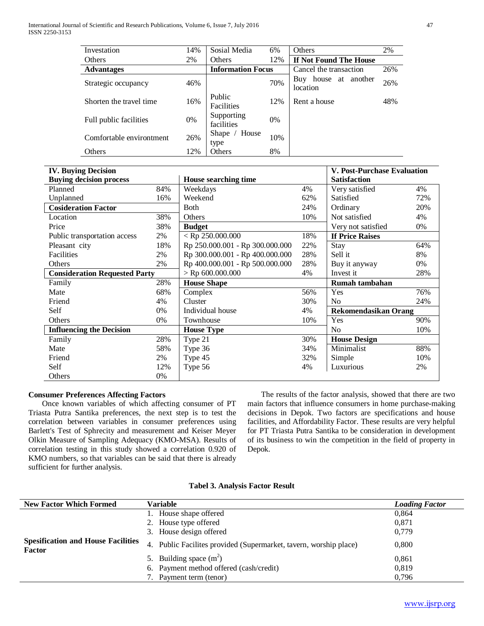| Investation              | 14% | Sosial Media             | 6%    | Others                              | 2%  |
|--------------------------|-----|--------------------------|-------|-------------------------------------|-----|
| <b>Others</b>            | 2%  | Others                   | 12%   | If Not Found The House              |     |
| <b>Advantages</b>        |     | <b>Information Focus</b> |       | Cancel the transaction              | 26% |
| Strategic occupancy      | 46% |                          | 70%   | house at another<br>Buy<br>location | 26% |
| Shorten the travel time  | 16% | Public<br>Facilities     | 12%   | Rent a house                        | 48% |
| Full public facilities   | 0%  | Supporting<br>facilities | $0\%$ |                                     |     |
| Comfortable environtment | 26% | House<br>Shape<br>type   | 10%   |                                     |     |
| Others                   | 12% | Others                   | 8%    |                                     |     |

| <b>IV. Buying Decision</b>           |     |                                 |                 | <b>V. Post-Purchase Evaluation</b> |     |
|--------------------------------------|-----|---------------------------------|-----------------|------------------------------------|-----|
| <b>Buying decision process</b>       |     | House searching time            |                 | <b>Satisfaction</b>                |     |
| Planned                              | 84% | Weekdays                        | 4%              | Very satisfied                     | 4%  |
| Unplanned                            | 16% | Weekend                         | 62%             | Satisfied                          | 72% |
| <b>Cosideration Factor</b>           |     | <b>Both</b>                     | 24%             | Ordinary                           | 20% |
| Location                             | 38% | Others                          | 10%             | Not satisfied                      | 4%  |
| Price                                | 38% | <b>Budget</b>                   |                 | Very not satisfied                 | 0%  |
| Public transportation access         | 2%  | $<$ Rp 250.000.000              | 18%             | <b>If Price Raises</b>             |     |
| Pleasant city                        | 18% | Rp 250.000.001 - Rp 300.000.000 | 22%             | Stay                               | 64% |
| Facilities                           | 2%  | Rp 300.000.001 - Rp 400.000.000 | 28%             | Sell it                            | 8%  |
| Others                               | 2%  | Rp 400.000.001 - Rp 500.000.000 | 28%             | Buy it anyway                      | 0%  |
| <b>Consideration Requested Party</b> |     | $>$ Rp 600.000.000              | 4%<br>Invest it |                                    | 28% |
| Family                               | 28% | <b>House Shape</b>              |                 | Rumah tambahan                     |     |
| Mate                                 | 68% | Complex                         | 56%             | Yes                                | 76% |
| Friend                               | 4%  | Cluster                         | 30%             | N <sub>0</sub>                     | 24% |
| Self                                 | 0%  | Individual house                | 4%              | <b>Rekomendasikan Orang</b>        |     |
| Others                               | 0%  | Townhouse                       | 10%             | Yes                                | 90% |
| <b>Influencing the Decision</b>      |     | <b>House Type</b>               |                 | N <sub>0</sub>                     | 10% |
| Family                               | 28% | Type 21                         | 30%             | <b>House Design</b>                |     |
| Mate                                 | 58% | Type 36                         | 34%             | Minimalist                         | 88% |
| Friend                               | 2%  | Type 45                         | 32%             | Simple                             | 10% |
| Self                                 | 12% | Type 56                         | 4%              | Luxurious                          | 2%  |
| Others                               | 0%  |                                 |                 |                                    |     |

# **Consumer Preferences Affecting Factors**

 Once known variables of which affecting consumer of PT Triasta Putra Santika preferences, the next step is to test the correlation between variables in consumer preferences using Barlett's Test of Sphrecity and measurement and Keiser Meyer Olkin Measure of Sampling Adequacy (KMO-MSA). Results of correlation testing in this study showed a correlation 0.920 of KMO numbers, so that variables can be said that there is already sufficient for further analysis.

 The results of the factor analysis, showed that there are two main factors that influence consumers in home purchase-making decisions in Depok. Two factors are specifications and house facilities, and Affordability Factor. These results are very helpful for PT Triasta Putra Santika to be consideration in development of its business to win the competition in the field of property in Depok.

| <b>New Factor Which Formed</b>                             | Variable                                                           | <b>Loading Factor</b> |
|------------------------------------------------------------|--------------------------------------------------------------------|-----------------------|
|                                                            | 1. House shape offered                                             | 0.864                 |
|                                                            | 2. House type offered                                              | 0.871                 |
|                                                            | 3. House design offered                                            | 0,779                 |
| <b>Spesification and House Facilities</b><br><b>Factor</b> | 4. Public Facilities provided (Supermarket, tavern, worship place) | 0,800                 |
|                                                            | 5. Building space $(m^2)$                                          | 0,861                 |
|                                                            | 6. Payment method offered (cash/credit)                            | 0.819                 |
|                                                            | 7. Payment term (tenor)                                            | 0,796                 |

# **Tabel 3. Analysis Factor Result**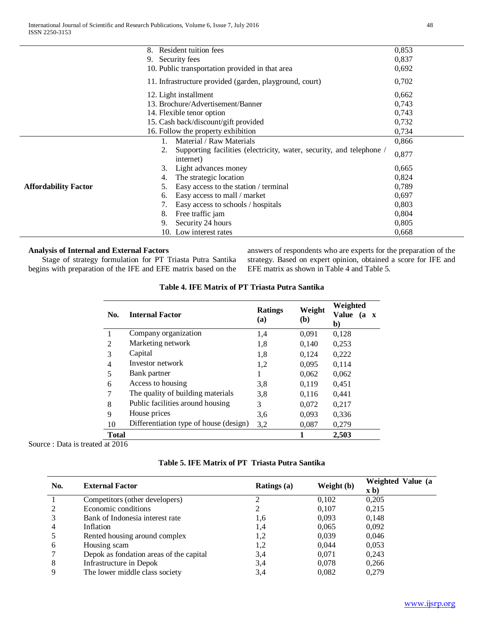|                             | Resident tuition fees<br>8.                                                             | 0,853 |
|-----------------------------|-----------------------------------------------------------------------------------------|-------|
|                             | 9. Security fees                                                                        | 0,837 |
|                             | 10. Public transportation provided in that area                                         | 0.692 |
|                             | 11. Infrastructure provided (garden, playground, court)                                 | 0,702 |
|                             | 12. Light installment                                                                   | 0,662 |
|                             | 13. Brochure/Advertisement/Banner                                                       | 0,743 |
|                             | 14. Flexible tenor option                                                               | 0,743 |
|                             | 15. Cash back/discount/gift provided                                                    | 0,732 |
|                             | 16. Follow the property exhibition                                                      | 0,734 |
|                             | Material / Raw Materials                                                                | 0,866 |
|                             | Supporting facilities (electricity, water, security, and telephone /<br>2.<br>internet) | 0,877 |
|                             | 3.<br>Light advances money                                                              | 0.665 |
|                             | The strategic location<br>4.                                                            | 0,824 |
| <b>Affordability Factor</b> | Easy access to the station / terminal<br>5.                                             | 0.789 |
|                             | Easy access to mall / market<br>6.                                                      | 0.697 |
|                             | Easy access to schools / hospitals                                                      | 0.803 |
|                             | 8.<br>Free traffic jam                                                                  | 0,804 |
|                             | Security 24 hours<br>9.                                                                 | 0,805 |
|                             | 10. Low interest rates                                                                  | 0.668 |

# **Analysis of Internal and External Factors**

 Stage of strategy formulation for PT Triasta Putra Santika begins with preparation of the IFE and EFE matrix based on the answers of respondents who are experts for the preparation of the strategy. Based on expert opinion, obtained a score for IFE and EFE matrix as shown in Table 4 and Table 5.

|                |                                        | <b>Ratings</b> | Weight | Weighted                           |  |
|----------------|----------------------------------------|----------------|--------|------------------------------------|--|
| No.            | <b>Internal Factor</b>                 | (a)            | (b)    | Value<br>(a)<br>$\mathbf{X}$<br>b) |  |
|                | Company organization                   | 1,4            | 0,091  | 0,128                              |  |
| $\mathfrak{D}$ | Marketing network                      | 1,8            | 0,140  | 0.253                              |  |
| 3              | Capital                                | 1,8            | 0,124  | 0,222                              |  |
| 4              | Investor network                       | 1,2            | 0,095  | 0,114                              |  |
| 5              | Bank partner                           |                | 0,062  | 0,062                              |  |
| 6              | Access to housing                      | 3,8            | 0,119  | 0,451                              |  |
| 7              | The quality of building materials      | 3.8            | 0,116  | 0,441                              |  |
| 8              | Public facilities around housing       | 3              | 0,072  | 0,217                              |  |
| 9              | House prices                           | 3.6            | 0,093  | 0,336                              |  |
| 10             | Differentiation type of house (design) | 3,2            | 0,087  | 0,279                              |  |
| <b>Total</b>   |                                        |                |        | 2,503                              |  |

# **Table 4. IFE Matrix of PT Triasta Putra Santika**

Source : Data is treated at 2016

| No. | <b>External Factor</b>                  | <b>Ratings</b> (a) | Weight (b) | Weighted Value (a<br>$\mathbf{x}$ b) |
|-----|-----------------------------------------|--------------------|------------|--------------------------------------|
|     | Competitors (other developers)          |                    | 0.102      | 0,205                                |
|     | Economic conditions                     |                    | 0.107      | 0,215                                |
|     | Bank of Indonesia interest rate         | 1,6                | 0.093      | 0,148                                |
|     | Inflation                               | 1,4                | 0,065      | 0,092                                |
|     | Rented housing around complex           | 1,2                | 0,039      | 0,046                                |
| 6   | Housing scam                            | 1,2                | 0.044      | 0,053                                |
|     | Depok as fondation areas of the capital | 3.4                | 0.071      | 0,243                                |
| 8   | Infrastructure in Depok                 | 3,4                | 0,078      | 0,266                                |
|     | The lower middle class society          | 3,4                | 0,082      | 0.279                                |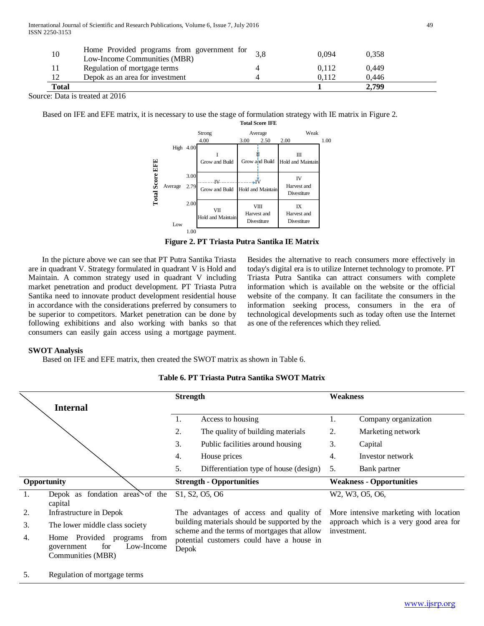| 10           | Home Provided programs from government for<br>Low-Income Communities (MBR) | 0.094 | 0.358 |
|--------------|----------------------------------------------------------------------------|-------|-------|
|              | Regulation of mortgage terms                                               | 0.112 | 0.449 |
| 12           | Depok as an area for investment                                            | 0.112 | 0.446 |
| <b>Total</b> |                                                                            |       | 2.799 |

Source: Data is treated at 2016

Based on IFE and EFE matrix, it is necessary to use the stage of formulation strategy with IE matrix in Figure 2.



**Figure 2. PT Triasta Putra Santika IE Matrix**

 In the picture above we can see that PT Putra Santika Triasta are in quadrant V. Strategy formulated in quadrant V is Hold and Maintain. A common strategy used in quadrant V including market penetration and product development. PT Triasta Putra Santika need to innovate product development residential house in accordance with the considerations preferred by consumers to be superior to competitors. Market penetration can be done by following exhibitions and also working with banks so that consumers can easily gain access using a mortgage payment.

Besides the alternative to reach consumers more effectively in today's digital era is to utilize Internet technology to promote. PT Triasta Putra Santika can attract consumers with complete information which is available on the website or the official website of the company. It can facilitate the consumers in the information seeking process, consumers in the era of technological developments such as today often use the Internet as one of the references which they relied.

#### **SWOT Analysis**

5. Regulation of mortgage terms

Based on IFE and EFE matrix, then created the SWOT matrix as shown in Table 6.

|    |                                   | <b>Strength</b> |                                                                                               | Weakness    |                                        |
|----|-----------------------------------|-----------------|-----------------------------------------------------------------------------------------------|-------------|----------------------------------------|
|    | <b>Internal</b>                   |                 |                                                                                               |             |                                        |
|    |                                   | -1.             | Access to housing                                                                             | 1.          | Company organization                   |
|    |                                   | 2.              | The quality of building materials                                                             | 2.          | Marketing network                      |
|    |                                   | 3.              | Public facilities around housing                                                              | 3.          | Capital                                |
|    |                                   | 4.              | House prices                                                                                  | 4.          | Investor network                       |
|    |                                   | 5.              | Differentiation type of house (design)                                                        | 5.          | Bank partner                           |
|    | Opportunity                       |                 | <b>Strength - Opportunities</b>                                                               |             | <b>Weakness - Opportunities</b>        |
| 1. | Depok as fondation areas of the   |                 | S <sub>1</sub> , S <sub>2</sub> , O <sub>5</sub> , O <sub>6</sub>                             |             | W2, W3, O5, O6,                        |
|    | capital                           |                 |                                                                                               |             |                                        |
| 2. | Infrastructure in Depok           |                 | The advantages of access and quality of                                                       |             | More intensive marketing with location |
| 3. | The lower middle class society    |                 | building materials should be supported by the<br>scheme and the terms of mortgages that allow | investment. | approach which is a very good area for |
| 4. | Home Provided<br>programs<br>from |                 | potential customers could have a house in                                                     |             |                                        |
|    | Low-Income<br>for<br>government   | Depok           |                                                                                               |             |                                        |
|    | Communities (MBR)                 |                 |                                                                                               |             |                                        |

# **Table 6. PT Triasta Putra Santika SWOT Matrix**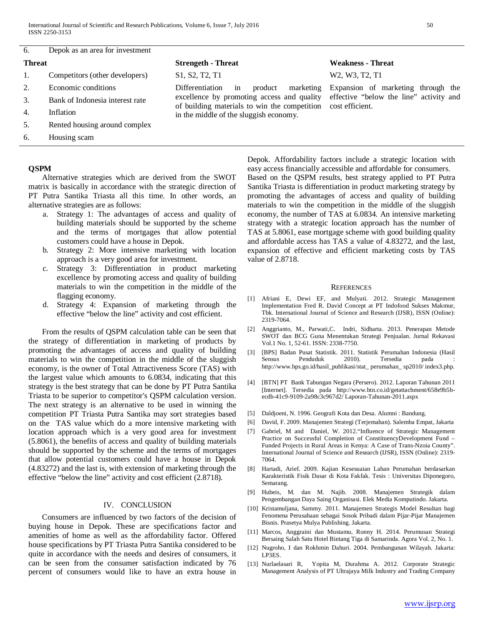6. Depok as an area for investment

- 
- 3. Bank of Indonesia interest rate
- 4. Inflation
- 5. Rented housing around complex
- 6. Housing scam

#### **QSPM**

 Alternative strategies which are derived from the SWOT matrix is basically in accordance with the strategic direction of PT Putra Santika Triasta all this time. In other words, an alternative strategies are as follows:

- a. Strategy 1: The advantages of access and quality of building materials should be supported by the scheme and the terms of mortgages that allow potential customers could have a house in Depok.
- b. Strategy 2: More intensive marketing with location approach is a very good area for investment.
- c. Strategy 3: Differentiation in product marketing excellence by promoting access and quality of building materials to win the competition in the middle of the flagging economy.
- d. Strategy 4: Expansion of marketing through the effective "below the line" activity and cost efficient.

 From the results of QSPM calculation table can be seen that the strategy of differentiation in marketing of products by promoting the advantages of access and quality of building materials to win the competition in the middle of the sluggish economy, is the owner of Total Attractiveness Score (TAS) with the largest value which amounts to 6.0834, indicating that this strategy is the best strategy that can be done by PT Putra Santika Triasta to be superior to competitor's QSPM calculation version. The next strategy is an alternative to be used in winning the competition PT Triasta Putra Santika may sort strategies based on the TAS value which do a more intensive marketing with location approach which is a very good area for investment (5.8061), the benefits of access and quality of building materials should be supported by the scheme and the terms of mortgages that allow potential customers could have a house in Depok (4.83272) and the last is, with extension of marketing through the effective "below the line" activity and cost efficient (2.8718).

#### IV. CONCLUSION

 Consumers are influenced by two factors of the decision of buying house in Depok. These are specifications factor and amenities of home as well as the affordability factor. Offered house specifications by PT Triasta Putra Santika considered to be quite in accordance with the needs and desires of consumers, it can be seen from the consumer satisfaction indicated by 76 percent of consumers would like to have an extra house in

2. Economic conditions Differentiation in product marketing excellence by promoting access and quality of building materials to win the competition in the middle of the sluggish economy.

# **Threat Strengeth - Threat Weakness - Threat**

1. Competitors (other developers) S1, S2, T2, T1 W2, W3, T2, T1

Expansion of marketing through the effective "below the line" activity and cost efficient.

Depok. Affordability factors include a strategic location with easy access financially accessible and affordable for consumers. Based on the QSPM results, best strategy applied to PT Putra Santika Triasta is differentiation in product marketing strategy by promoting the advantages of access and quality of building materials to win the competition in the middle of the sluggish economy, the number of TAS at 6.0834. An intensive marketing strategy with a strategic location approach has the number of TAS at 5.8061, ease mortgage scheme with good building quality and affordable access has TAS a value of 4.83272, and the last, expansion of effective and efficient marketing costs by TAS value of 2.8718.

#### **REFERENCES**

- [1] Afriani E, Dewi EF, and Mulyati. 2012. Strategic Management Implementation Fred R. David Concept at PT Indofood Sukses Makmur, Tbk. International Journal of Science and Research (IJSR), ISSN (Online): 2319-7064.
- [2] Anggrianto, M., Parwati,C. Indri, Sidharta. 2013. Penerapan Metode SWOT dan BCG Guna Menentukan Strategi Penjualan. Jurnal Rekavasi Vol.1 No. 1, 52-61. ISSN: 2338-7750.
- [3] [BPS] Badan Pusat Statistik. 2011. Statistik Perumahan Indonesia (Hasil Sensus Penduduk 2010). Tersedia pada http://www.bps.go.id/hasil\_publikasi/stat\_ perumahan\_ sp2010/ index3.php.
- [4] [BTN] PT Bank Tabungan Negara (Persero). 2012. Laporan Tahunan 2011 [Internet]. Tersedia pada http://www.btn.co.id/getattachment/658e9b5becdb-41c9-9109-2a98c3c967d2/ Laporan-Tahunan-2011.aspx
- [5] Daldjoeni, N. 1996. Geografi Kota dan Desa. Alumni : Bandung.
- [6] David, F. 2009. Manajemen Strategi (Terjemahan). Salemba Empat, Jakarta
- [7] Gabriel, M and Daniel, W. 2012."Influence of Strategic Management Practice on Successful Completion of ConstituencyDevelopment Fund – Funded Projects in Rural Areas in Kenya: A Case of Trans-Nzoia County". International Journal of Science and Research (IJSR), ISSN (Online): 2319- 7064.
- [8] Hartadi, Arief. 2009. Kajian Kesesuaian Lahan Perumahan berdasarkan Karakteristik Fisik Dasar di Kota Fakfak. Tesis : Universitas Diponegoro, Semarang.
- [9] Hubeis, M. dan M. Najib. 2008. Manajemen Strategik dalam Pengembangan Daya Saing Organisasi. Elek Media Komputindo. Jakarta.
- [10] Kristamuljana, Sammy. 2011. Manajemen Strategis Model Resultan bagi Fenomena Perusahaan sebagai Sosok Pribadi dalam Pijar-Pijar Manajemen Bisnis. Prasetya Mulya Publishing. Jakarta.
- [11] Marcos, Anggraini dan Mustamu, Ronny H. 2014. Perumusan Strategi Bersaing Salah Satu Hotel Bintang Tiga di Samarinda. Agora Vol. 2, No. 1.
- [12] Nugroho, I dan Rokhmin Dahuri. 2004. Pembangunan Wilayah. Jakarta: LP3ES.
- [13] Nurlaelasari R, Yopita M, Durahma A. 2012. Corporate Strategic Management Analysis of PT Ultrajaya Milk Industry and Trading Company